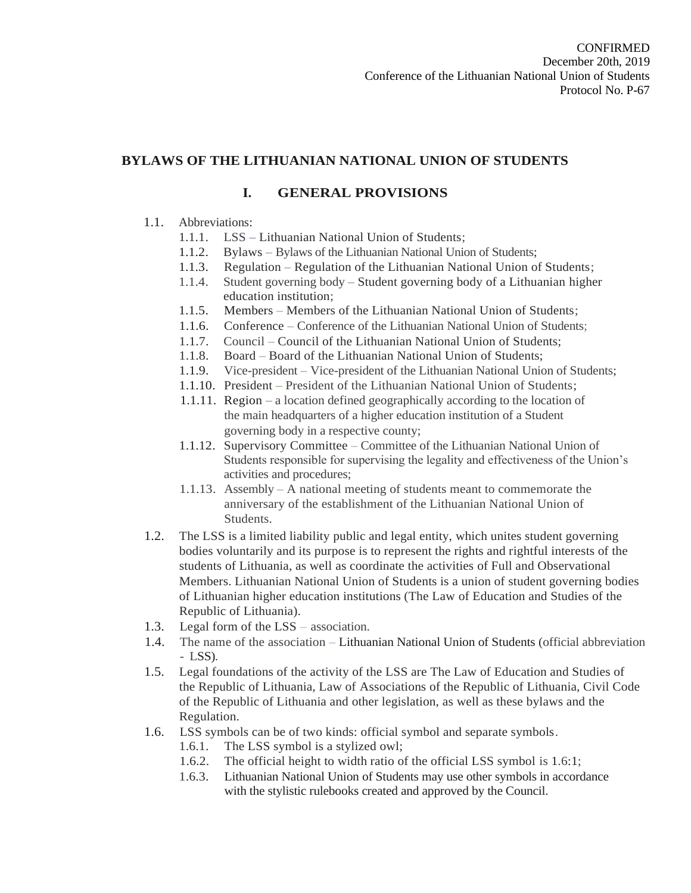# **BYLAWS OF THE LITHUANIAN NATIONAL UNION OF STUDENTS**

# **I. GENERAL PROVISIONS**

# 1.1. Abbreviations:

- 1.1.1. LSS Lithuanian National Union of Students;
- 1.1.2. Bylaws Bylaws of the Lithuanian National Union of Students;
- 1.1.3. Regulation Regulation of the Lithuanian National Union of Students;
- 1.1.4. Student governing body Student governing body of a Lithuanian higher education institution;
- 1.1.5. Members Members of the Lithuanian National Union of Students;
- 1.1.6. Conference Conference of the Lithuanian National Union of Students;
- 1.1.7. Council Council of the Lithuanian National Union of Students;
- 1.1.8. Board Board of the Lithuanian National Union of Students;
- 1.1.9. Vice-president Vice-president of the Lithuanian National Union of Students;
- 1.1.10. President President of the Lithuanian National Union of Students;
- 1.1.11. Region a location defined geographically according to the location of the main headquarters of a higher education institution of a Student governing body in a respective county;
- 1.1.12. Supervisory Committee Committee of the Lithuanian National Union of Students responsible for supervising the legality and effectiveness of the Union's activities and procedures;
- 1.1.13. Assembly A national meeting of students meant to commemorate the anniversary of the establishment of the Lithuanian National Union of Students.
- 1.2. The LSS is a limited liability public and legal entity, which unites student governing bodies voluntarily and its purpose is to represent the rights and rightful interests of the students of Lithuania, as well as coordinate the activities of Full and Observational Members. Lithuanian National Union of Students is a union of student governing bodies of Lithuanian higher education institutions (The Law of Education and Studies of the Republic of Lithuania).
- 1.3. Legal form of the LSS association.
- 1.4. The name of the association Lithuanian National Union of Students (official abbreviation - LSS).
- 1.5. Legal foundations of the activity of the LSS are The Law of Education and Studies of the Republic of Lithuania, Law of Associations of the Republic of Lithuania, Civil Code of the Republic of Lithuania and other legislation, as well as these bylaws and the Regulation.
- 1.6. LSS symbols can be of two kinds: official symbol and separate symbols.
	- 1.6.1. The LSS symbol is a stylized owl;
	- 1.6.2. The official height to width ratio of the official LSS symbol is 1.6:1;
	- 1.6.3. Lithuanian National Union of Students may use other symbols in accordance with the stylistic rulebooks created and approved by the Council.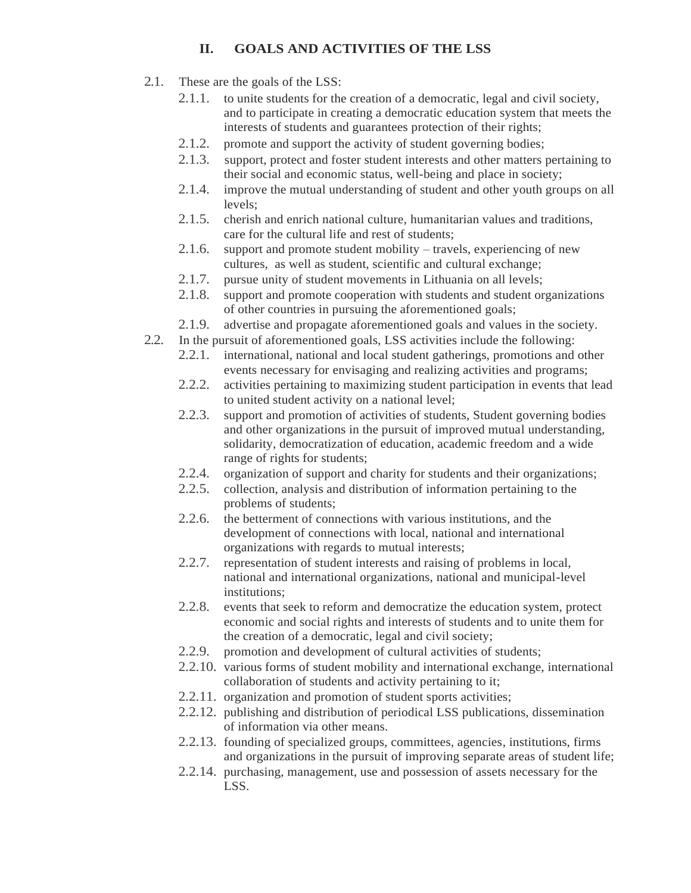# **II. GOALS AND ACTIVITIES OF THE LSS**

- 2.1. These are the goals of the LSS:
	- 2.1.1. to unite students for the creation of a democratic, legal and civil society, and to participate in creating a democratic education system that meets the interests of students and guarantees protection of their rights;
	- 2.1.2. promote and support the activity of student governing bodies;
	- 2.1.3. support, protect and foster student interests and other matters pertaining to their social and economic status, well-being and place in society;
	- 2.1.4. improve the mutual understanding of student and other youth groups on all levels;
	- 2.1.5. cherish and enrich national culture, humanitarian values and traditions, care for the cultural life and rest of students;
	- 2.1.6. support and promote student mobility travels, experiencing of new cultures, as well as student, scientific and cultural exchange;
	- 2.1.7. pursue unity of student movements in Lithuania on all levels;
	- 2.1.8. support and promote cooperation with students and student organizations of other countries in pursuing the aforementioned goals;
	- 2.1.9. advertise and propagate aforementioned goals and values in the society.
- 2.2. In the pursuit of aforementioned goals, LSS activities include the following:
	- 2.2.1. international, national and local student gatherings, promotions and other events necessary for envisaging and realizing activities and programs;
	- 2.2.2. activities pertaining to maximizing student participation in events that lead to united student activity on a national level;
	- 2.2.3. support and promotion of activities of students, Student governing bodies and other organizations in the pursuit of improved mutual understanding, solidarity, democratization of education, academic freedom and a wide range of rights for students;
	- 2.2.4. organization of support and charity for students and their organizations;
	- 2.2.5. collection, analysis and distribution of information pertaining to the problems of students;
	- 2.2.6. the betterment of connections with various institutions, and the development of connections with local, national and international organizations with regards to mutual interests;
	- 2.2.7. representation of student interests and raising of problems in local, national and international organizations, national and municipal-level institutions;
	- 2.2.8. events that seek to reform and democratize the education system, protect economic and social rights and interests of students and to unite them for the creation of a democratic, legal and civil society;
	- 2.2.9. promotion and development of cultural activities of students;
	- 2.2.10. various forms of student mobility and international exchange, international collaboration of students and activity pertaining to it;
	- 2.2.11. organization and promotion of student sports activities;
	- 2.2.12. publishing and distribution of periodical LSS publications, dissemination of information via other means.
	- 2.2.13. founding of specialized groups, committees, agencies, institutions, firms and organizations in the pursuit of improving separate areas of student life;
	- 2.2.14. purchasing, management, use and possession of assets necessary for the LSS.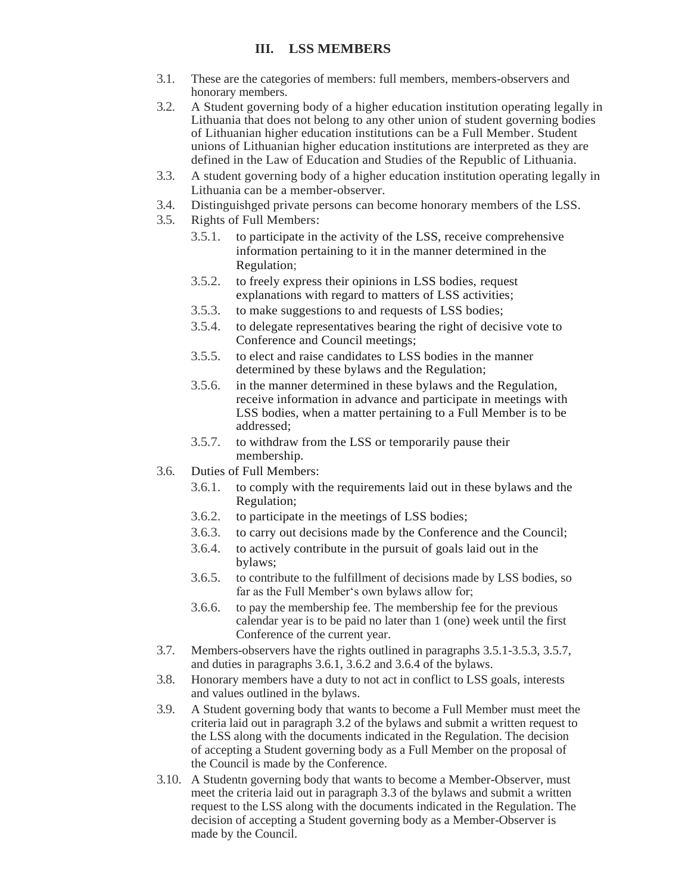# **III. LSS MEMBERS**

- 3.1. These are the categories of members: full members, members-observers and honorary members.
- 3.2. A Student governing body of a higher education institution operating legally in Lithuania that does not belong to any other union of student governing bodies of Lithuanian higher education institutions can be a Full Member. Student unions of Lithuanian higher education institutions are interpreted as they are defined in the Law of Education and Studies of the Republic of Lithuania.
- 3.3. A student governing body of a higher education institution operating legally in Lithuania can be a member-observer.
- 3.4. Distinguishged private persons can become honorary members of the LSS.
- 3.5. Rights of Full Members:
	- 3.5.1. to participate in the activity of the LSS, receive comprehensive information pertaining to it in the manner determined in the Regulation;
	- 3.5.2. to freely express their opinions in LSS bodies, request explanations with regard to matters of LSS activities;
	- 3.5.3. to make suggestions to and requests of LSS bodies;
	- 3.5.4. to delegate representatives bearing the right of decisive vote to Conference and Council meetings;
	- 3.5.5. to elect and raise candidates to LSS bodies in the manner determined by these bylaws and the Regulation;
	- 3.5.6. in the manner determined in these bylaws and the Regulation, receive information in advance and participate in meetings with LSS bodies, when a matter pertaining to a Full Member is to be addressed;
	- 3.5.7. to withdraw from the LSS or temporarily pause their membership.
- 3.6. Duties of Full Members:
	- 3.6.1. to comply with the requirements laid out in these bylaws and the Regulation;
	- 3.6.2. to participate in the meetings of LSS bodies;
	- 3.6.3. to carry out decisions made by the Conference and the Council;
	- 3.6.4. to actively contribute in the pursuit of goals laid out in the bylaws;
	- 3.6.5. to contribute to the fulfillment of decisions made by LSS bodies, so far as the Full Member's own bylaws allow for;
	- 3.6.6. to pay the membership fee. The membership fee for the previous calendar year is to be paid no later than 1 (one) week until the first Conference of the current year.
- 3.7. Members-observers have the rights outlined in paragraphs 3.5.1-3.5.3, 3.5.7, and duties in paragraphs 3.6.1, 3.6.2 and 3.6.4 of the bylaws.
- 3.8. Honorary members have a duty to not act in conflict to LSS goals, interests and values outlined in the bylaws.
- 3.9. A Student governing body that wants to become a Full Member must meet the criteria laid out in paragraph 3.2 of the bylaws and submit a written request to the LSS along with the documents indicated in the Regulation. The decision of accepting a Student governing body as a Full Member on the proposal of the Council is made by the Conference.
- 3.10. A Studentn governing body that wants to become a Member-Observer, must meet the criteria laid out in paragraph 3.3 of the bylaws and submit a written request to the LSS along with the documents indicated in the Regulation. The decision of accepting a Student governing body as a Member-Observer is made by the Council.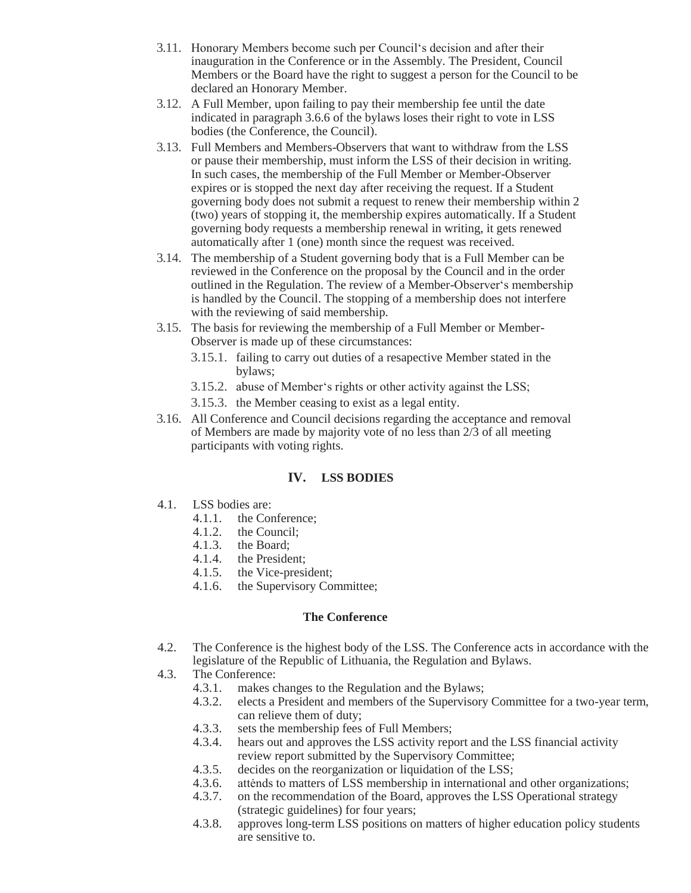- 3.11. Honorary Members become such per Council's decision and after their inauguration in the Conference or in the Assembly. The President, Council Members or the Board have the right to suggest a person for the Council to be declared an Honorary Member.
- 3.12. A Full Member, upon failing to pay their membership fee until the date indicated in paragraph 3.6.6 of the bylaws loses their right to vote in LSS bodies (the Conference, the Council).
- 3.13. Full Members and Members-Observers that want to withdraw from the LSS or pause their membership, must inform the LSS of their decision in writing. In such cases, the membership of the Full Member or Member-Observer expires or is stopped the next day after receiving the request. If a Student governing body does not submit a request to renew their membership within 2 (two) years of stopping it, the membership expires automatically. If a Student governing body requests a membership renewal in writing, it gets renewed automatically after 1 (one) month since the request was received.
- 3.14. The membership of a Student governing body that is a Full Member can be reviewed in the Conference on the proposal by the Council and in the order outlined in the Regulation. The review of a Member-Observer's membership is handled by the Council. The stopping of a membership does not interfere with the reviewing of said membership.
- 3.15. The basis for reviewing the membership of a Full Member or Member-Observer is made up of these circumstances:
	- 3.15.1. failing to carry out duties of a resapective Member stated in the bylaws;
	- 3.15.2. abuse of Member's rights or other activity against the LSS;
	- 3.15.3. the Member ceasing to exist as a legal entity.
- 3.16. All Conference and Council decisions regarding the acceptance and removal of Members are made by majority vote of no less than 2/3 of all meeting participants with voting rights.

### **IV. LSS BODIES**

- 4.1. LSS bodies are:
	- 4.1.1. the Conference;
	- 4.1.2. the Council;
	- 4.1.3. the Board;<br>4.1.4. the Preside
	- 4.1.4. the President;<br>4.1.5. the Vice-president
	- the Vice-president;
	- 4.1.6. the Supervisory Committee;

### **The Conference**

- 4.2. The Conference is the highest body of the LSS. The Conference acts in accordance with the legislature of the Republic of Lithuania, the Regulation and Bylaws.
- 4.3. The Conference:
	- 4.3.1. makes changes to the Regulation and the Bylaws;
	- 4.3.2. elects a President and members of the Supervisory Committee for a two-year term, can relieve them of duty;
	- 4.3.3. sets the membership fees of Full Members;
	- 4.3.4. hears out and approves the LSS activity report and the LSS financial activity review report submitted by the Supervisory Committee;
	- 4.3.5. decides on the reorganization or liquidation of the LSS;
	- 4.3.6. attėnds to matters of LSS membership in international and other organizations;
	- 4.3.7. on the recommendation of the Board, approves the LSS Operational strategy (strategic guidelines) for four years;
	- 4.3.8. approves long-term LSS positions on matters of higher education policy students are sensitive to.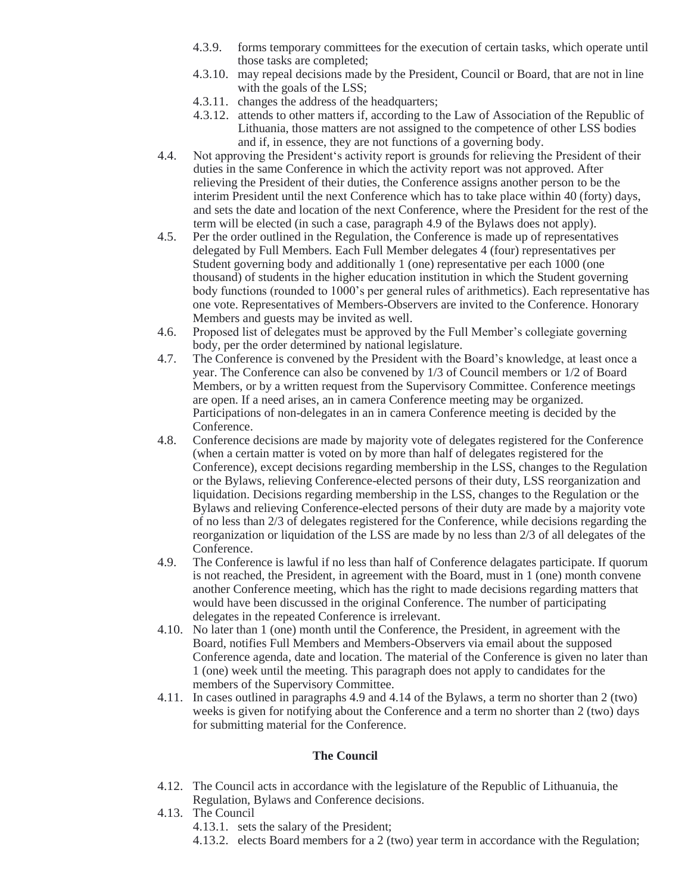- 4.3.9. forms temporary committees for the execution of certain tasks, which operate until those tasks are completed;
- 4.3.10. may repeal decisions made by the President, Council or Board, that are not in line with the goals of the LSS;
- 4.3.11. changes the address of the headquarters;
- 4.3.12. attends to other matters if, according to the Law of Association of the Republic of Lithuania, those matters are not assigned to the competence of other LSS bodies and if, in essence, they are not functions of a governing body.
- 4.4. Not approving the President's activity report is grounds for relieving the President of their duties in the same Conference in which the activity report was not approved. After relieving the President of their duties, the Conference assigns another person to be the interim President until the next Conference which has to take place within 40 (forty) days, and sets the date and location of the next Conference, where the President for the rest of the term will be elected (in such a case, paragraph 4.9 of the Bylaws does not apply).
- 4.5. Per the order outlined in the Regulation, the Conference is made up of representatives delegated by Full Members. Each Full Member delegates 4 (four) representatives per Student governing body and additionally 1 (one) representative per each 1000 (one thousand) of students in the higher education institution in which the Student governing body functions (rounded to 1000's per general rules of arithmetics). Each representative has one vote. Representatives of Members-Observers are invited to the Conference. Honorary Members and guests may be invited as well.
- 4.6. Proposed list of delegates must be approved by the Full Member's collegiate governing body, per the order determined by national legislature.
- 4.7. The Conference is convened by the President with the Board's knowledge, at least once a year. The Conference can also be convened by 1/3 of Council members or 1/2 of Board Members, or by a written request from the Supervisory Committee. Conference meetings are open. If a need arises, an in camera Conference meeting may be organized. Participations of non-delegates in an in camera Conference meeting is decided by the Conference.
- 4.8. Conference decisions are made by majority vote of delegates registered for the Conference (when a certain matter is voted on by more than half of delegates registered for the Conference), except decisions regarding membership in the LSS, changes to the Regulation or the Bylaws, relieving Conference-elected persons of their duty, LSS reorganization and liquidation. Decisions regarding membership in the LSS, changes to the Regulation or the Bylaws and relieving Conference-elected persons of their duty are made by a majority vote of no less than 2/3 of delegates registered for the Conference, while decisions regarding the reorganization or liquidation of the LSS are made by no less than 2/3 of all delegates of the Conference.
- 4.9. The Conference is lawful if no less than half of Conference delagates participate. If quorum is not reached, the President, in agreement with the Board, must in 1 (one) month convene another Conference meeting, which has the right to made decisions regarding matters that would have been discussed in the original Conference. The number of participating delegates in the repeated Conference is irrelevant.
- 4.10. No later than 1 (one) month until the Conference, the President, in agreement with the Board, notifies Full Members and Members-Observers via email about the supposed Conference agenda, date and location. The material of the Conference is given no later than 1 (one) week until the meeting. This paragraph does not apply to candidates for the members of the Supervisory Committee.
- 4.11. In cases outlined in paragraphs 4.9 and 4.14 of the Bylaws, a term no shorter than 2 (two) weeks is given for notifying about the Conference and a term no shorter than 2 (two) days for submitting material for the Conference.

### **The Council**

- 4.12. The Council acts in accordance with the legislature of the Republic of Lithuanuia, the Regulation, Bylaws and Conference decisions.
- 4.13. The Council 4.13.1. sets the salary of the President;
	- 4.13.2. elects Board members for a 2 (two) year term in accordance with the Regulation;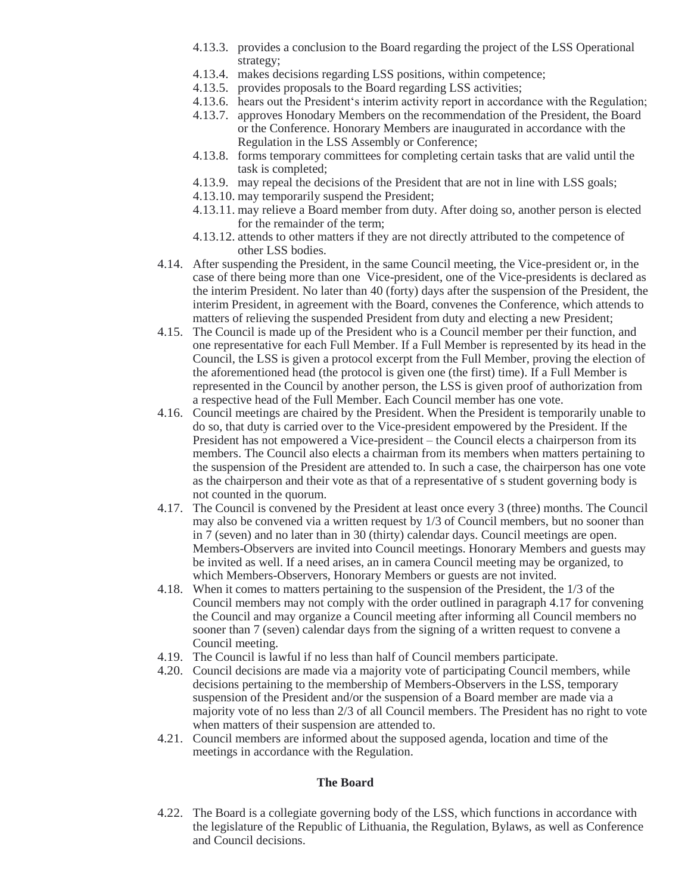- 4.13.3. provides a conclusion to the Board regarding the project of the LSS Operational strategy;
- 4.13.4. makes decisions regarding LSS positions, within competence;
- 4.13.5. provides proposals to the Board regarding LSS activities;
- 4.13.6. hears out the President's interim activity report in accordance with the Regulation;
- 4.13.7. approves Honodary Members on the recommendation of the President, the Board or the Conference. Honorary Members are inaugurated in accordance with the Regulation in the LSS Assembly or Conference;
- 4.13.8. forms temporary committees for completing certain tasks that are valid until the task is completed;
- 4.13.9. may repeal the decisions of the President that are not in line with LSS goals;
- 4.13.10. may temporarily suspend the President;
- 4.13.11. may relieve a Board member from duty. After doing so, another person is elected for the remainder of the term;
- 4.13.12. attends to other matters if they are not directly attributed to the competence of other LSS bodies.
- 4.14. After suspending the President, in the same Council meeting, the Vice-president or, in the case of there being more than one Vice-president, one of the Vice-presidents is declared as the interim President. No later than 40 (forty) days after the suspension of the President, the interim President, in agreement with the Board, convenes the Conference, which attends to matters of relieving the suspended President from duty and electing a new President;
- 4.15. The Council is made up of the President who is a Council member per their function, and one representative for each Full Member. If a Full Member is represented by its head in the Council, the LSS is given a protocol excerpt from the Full Member, proving the election of the aforementioned head (the protocol is given one (the first) time). If a Full Member is represented in the Council by another person, the LSS is given proof of authorization from a respective head of the Full Member. Each Council member has one vote.
- 4.16. Council meetings are chaired by the President. When the President is temporarily unable to do so, that duty is carried over to the Vice-president empowered by the President. If the President has not empowered a Vice-president – the Council elects a chairperson from its members. The Council also elects a chairman from its members when matters pertaining to the suspension of the President are attended to. In such a case, the chairperson has one vote as the chairperson and their vote as that of a representative of s student governing body is not counted in the quorum.
- 4.17. The Council is convened by the President at least once every 3 (three) months. The Council may also be convened via a written request by 1/3 of Council members, but no sooner than in 7 (seven) and no later than in 30 (thirty) calendar days. Council meetings are open. Members-Observers are invited into Council meetings. Honorary Members and guests may be invited as well. If a need arises, an in camera Council meeting may be organized, to which Members-Observers, Honorary Members or guests are not invited.
- 4.18. When it comes to matters pertaining to the suspension of the President, the 1/3 of the Council members may not comply with the order outlined in paragraph 4.17 for convening the Council and may organize a Council meeting after informing all Council members no sooner than 7 (seven) calendar days from the signing of a written request to convene a Council meeting.
- 4.19. The Council is lawful if no less than half of Council members participate.
- 4.20. Council decisions are made via a majority vote of participating Council members, while decisions pertaining to the membership of Members-Observers in the LSS, temporary suspension of the President and/or the suspension of a Board member are made via a majority vote of no less than 2/3 of all Council members. The President has no right to vote when matters of their suspension are attended to.
- 4.21. Council members are informed about the supposed agenda, location and time of the meetings in accordance with the Regulation.

#### **The Board**

4.22. The Board is a collegiate governing body of the LSS, which functions in accordance with the legislature of the Republic of Lithuania, the Regulation, Bylaws, as well as Conference and Council decisions.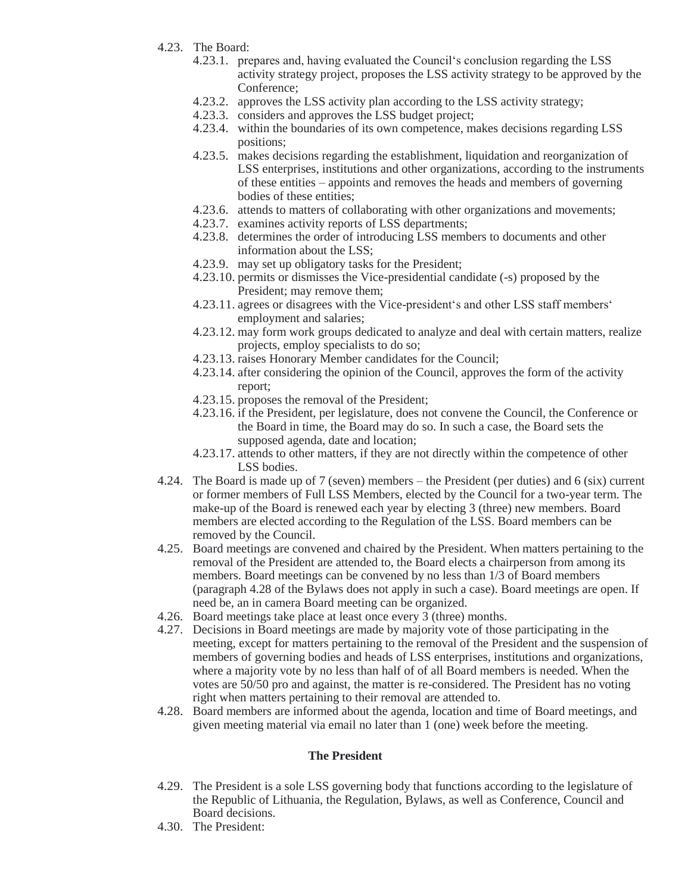- 4.23. The Board:
	- 4.23.1. prepares and, having evaluated the Council's conclusion regarding the LSS activity strategy project, proposes the LSS activity strategy to be approved by the Conference;
	- 4.23.2. approves the LSS activity plan according to the LSS activity strategy;
	- 4.23.3. considers and approves the LSS budget project;
	- 4.23.4. within the boundaries of its own competence, makes decisions regarding LSS positions;
	- 4.23.5. makes decisions regarding the establishment, liquidation and reorganization of LSS enterprises, institutions and other organizations, according to the instruments of these entities – appoints and removes the heads and members of governing bodies of these entities;
	- 4.23.6. attends to matters of collaborating with other organizations and movements;
	- 4.23.7. examines activity reports of LSS departments;
	- 4.23.8. determines the order of introducing LSS members to documents and other information about the LSS;
	- 4.23.9. may set up obligatory tasks for the President;
	- 4.23.10. permits or dismisses the Vice-presidential candidate (-s) proposed by the President; may remove them;
	- 4.23.11. agrees or disagrees with the Vice-president's and other LSS staff members' employment and salaries;
	- 4.23.12. may form work groups dedicated to analyze and deal with certain matters, realize projects, employ specialists to do so;
	- 4.23.13. raises Honorary Member candidates for the Council;
	- 4.23.14. after considering the opinion of the Council, approves the form of the activity report;
	- 4.23.15. proposes the removal of the President;
	- 4.23.16. if the President, per legislature, does not convene the Council, the Conference or the Board in time, the Board may do so. In such a case, the Board sets the supposed agenda, date and location;
	- 4.23.17. attends to other matters, if they are not directly within the competence of other LSS bodies.
- 4.24. The Board is made up of 7 (seven) members the President (per duties) and 6 (six) current or former members of Full LSS Members, elected by the Council for a two-year term. The make-up of the Board is renewed each year by electing 3 (three) new members. Board members are elected according to the Regulation of the LSS. Board members can be removed by the Council.
- 4.25. Board meetings are convened and chaired by the President. When matters pertaining to the removal of the President are attended to, the Board elects a chairperson from among its members. Board meetings can be convened by no less than 1/3 of Board members (paragraph 4.28 of the Bylaws does not apply in such a case). Board meetings are open. If need be, an in camera Board meeting can be organized.
- 4.26. Board meetings take place at least once every 3 (three) months.
- 4.27. Decisions in Board meetings are made by majority vote of those participating in the meeting, except for matters pertaining to the removal of the President and the suspension of members of governing bodies and heads of LSS enterprises, institutions and organizations, where a majority vote by no less than half of of all Board members is needed. When the votes are 50/50 pro and against, the matter is re-considered. The President has no voting right when matters pertaining to their removal are attended to.
- 4.28. Board members are informed about the agenda, location and time of Board meetings, and given meeting material via email no later than 1 (one) week before the meeting.

### **The President**

- 4.29. The President is a sole LSS governing body that functions according to the legislature of the Republic of Lithuania, the Regulation, Bylaws, as well as Conference, Council and Board decisions.
- 4.30. The President: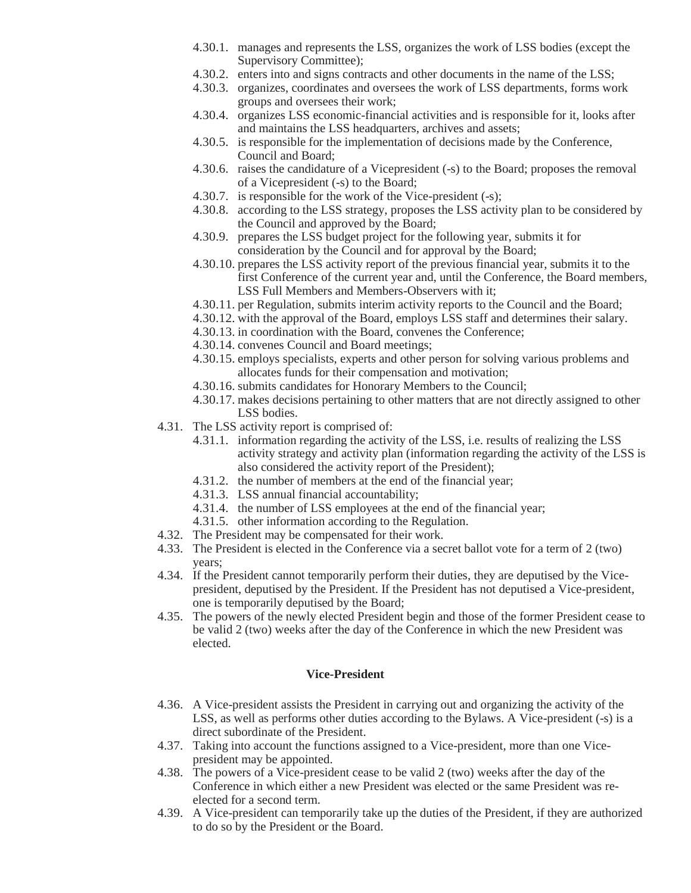- 4.30.1. manages and represents the LSS, organizes the work of LSS bodies (except the Supervisory Committee);
- 4.30.2. enters into and signs contracts and other documents in the name of the LSS;
- 4.30.3. organizes, coordinates and oversees the work of LSS departments, forms work groups and oversees their work;
- 4.30.4. organizes LSS economic-financial activities and is responsible for it, looks after and maintains the LSS headquarters, archives and assets;
- 4.30.5. is responsible for the implementation of decisions made by the Conference, Council and Board;
- 4.30.6. raises the candidature of a Vicepresident (-s) to the Board; proposes the removal of a Vicepresident (-s) to the Board;
- 4.30.7. is responsible for the work of the Vice-president (-s);
- 4.30.8. according to the LSS strategy, proposes the LSS activity plan to be considered by the Council and approved by the Board;
- 4.30.9. prepares the LSS budget project for the following year, submits it for consideration by the Council and for approval by the Board;
- 4.30.10. prepares the LSS activity report of the previous financial year, submits it to the first Conference of the current year and, until the Conference, the Board members, LSS Full Members and Members-Observers with it;
- 4.30.11. per Regulation, submits interim activity reports to the Council and the Board;
- 4.30.12. with the approval of the Board, employs LSS staff and determines their salary.
- 4.30.13. in coordination with the Board, convenes the Conference;
- 4.30.14. convenes Council and Board meetings;
- 4.30.15. employs specialists, experts and other person for solving various problems and allocates funds for their compensation and motivation;
- 4.30.16. submits candidates for Honorary Members to the Council;
- 4.30.17. makes decisions pertaining to other matters that are not directly assigned to other LSS bodies.
- 4.31. The LSS activity report is comprised of:
	- 4.31.1. information regarding the activity of the LSS, i.e. results of realizing the LSS activity strategy and activity plan (information regarding the activity of the LSS is also considered the activity report of the President);
	- 4.31.2. the number of members at the end of the financial year;
	- 4.31.3. LSS annual financial accountability;
	- 4.31.4. the number of LSS employees at the end of the financial year;
	- 4.31.5. other information according to the Regulation.
- 4.32. The President may be compensated for their work.
- 4.33. The President is elected in the Conference via a secret ballot vote for a term of 2 (two) years;
- 4.34. If the President cannot temporarily perform their duties, they are deputised by the Vicepresident, deputised by the President. If the President has not deputised a Vice-president, one is temporarily deputised by the Board;
- 4.35. The powers of the newly elected President begin and those of the former President cease to be valid 2 (two) weeks after the day of the Conference in which the new President was elected.

#### **Vice-President**

- 4.36. A Vice-president assists the President in carrying out and organizing the activity of the LSS, as well as performs other duties according to the Bylaws. A Vice-president (-s) is a direct subordinate of the President.
- 4.37. Taking into account the functions assigned to a Vice-president, more than one Vicepresident may be appointed.
- 4.38. The powers of a Vice-president cease to be valid 2 (two) weeks after the day of the Conference in which either a new President was elected or the same President was reelected for a second term.
- 4.39. A Vice-president can temporarily take up the duties of the President, if they are authorized to do so by the President or the Board.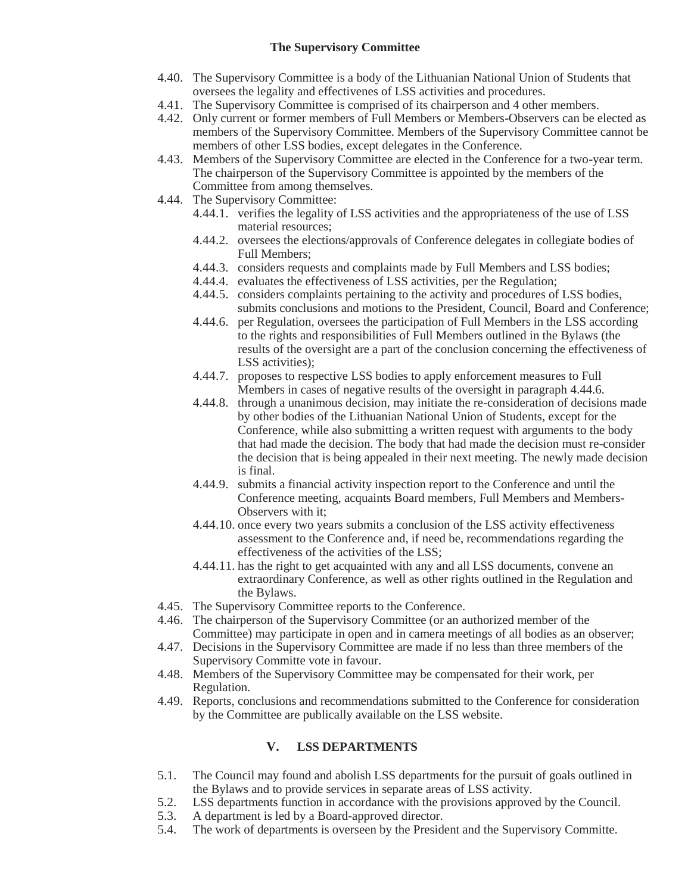## **The Supervisory Committee**

- 4.40. The Supervisory Committee is a body of the Lithuanian National Union of Students that oversees the legality and effectivenes of LSS activities and procedures.
- 4.41. The Supervisory Committee is comprised of its chairperson and 4 other members.
- 4.42. Only current or former members of Full Members or Members-Observers can be elected as members of the Supervisory Committee. Members of the Supervisory Committee cannot be members of other LSS bodies, except delegates in the Conference.
- 4.43. Members of the Supervisory Committee are elected in the Conference for a two-year term. The chairperson of the Supervisory Committee is appointed by the members of the Committee from among themselves.
- 4.44. The Supervisory Committee:
	- 4.44.1. verifies the legality of LSS activities and the appropriateness of the use of LSS material resources;
	- 4.44.2. oversees the elections/approvals of Conference delegates in collegiate bodies of Full Members;
	- 4.44.3. considers requests and complaints made by Full Members and LSS bodies;
	- 4.44.4. evaluates the effectiveness of LSS activities, per the Regulation;
	- 4.44.5. considers complaints pertaining to the activity and procedures of LSS bodies, submits conclusions and motions to the President, Council, Board and Conference;
	- 4.44.6. per Regulation, oversees the participation of Full Members in the LSS according to the rights and responsibilities of Full Members outlined in the Bylaws (the results of the oversight are a part of the conclusion concerning the effectiveness of LSS activities);
	- 4.44.7. proposes to respective LSS bodies to apply enforcement measures to Full Members in cases of negative results of the oversight in paragraph 4.44.6.
	- 4.44.8. through a unanimous decision, may initiate the re-consideration of decisions made by other bodies of the Lithuanian National Union of Students, except for the Conference, while also submitting a written request with arguments to the body that had made the decision. The body that had made the decision must re-consider the decision that is being appealed in their next meeting. The newly made decision is final.
	- 4.44.9. submits a financial activity inspection report to the Conference and until the Conference meeting, acquaints Board members, Full Members and Members-Observers with it;
	- 4.44.10. once every two years submits a conclusion of the LSS activity effectiveness assessment to the Conference and, if need be, recommendations regarding the effectiveness of the activities of the LSS;
	- 4.44.11. has the right to get acquainted with any and all LSS documents, convene an extraordinary Conference, as well as other rights outlined in the Regulation and the Bylaws.
- 4.45. The Supervisory Committee reports to the Conference.
- 4.46. The chairperson of the Supervisory Committee (or an authorized member of the Committee) may participate in open and in camera meetings of all bodies as an observer;
- 4.47. Decisions in the Supervisory Committee are made if no less than three members of the Supervisory Committe vote in favour.
- 4.48. Members of the Supervisory Committee may be compensated for their work, per Regulation.
- 4.49. Reports, conclusions and recommendations submitted to the Conference for consideration by the Committee are publically available on the LSS website.

## **V. LSS DEPARTMENTS**

- 5.1. The Council may found and abolish LSS departments for the pursuit of goals outlined in the Bylaws and to provide services in separate areas of LSS activity.
- 5.2. LSS departments function in accordance with the provisions approved by the Council.
- 5.3. A department is led by a Board-approved director.
- 5.4. The work of departments is overseen by the President and the Supervisory Committe.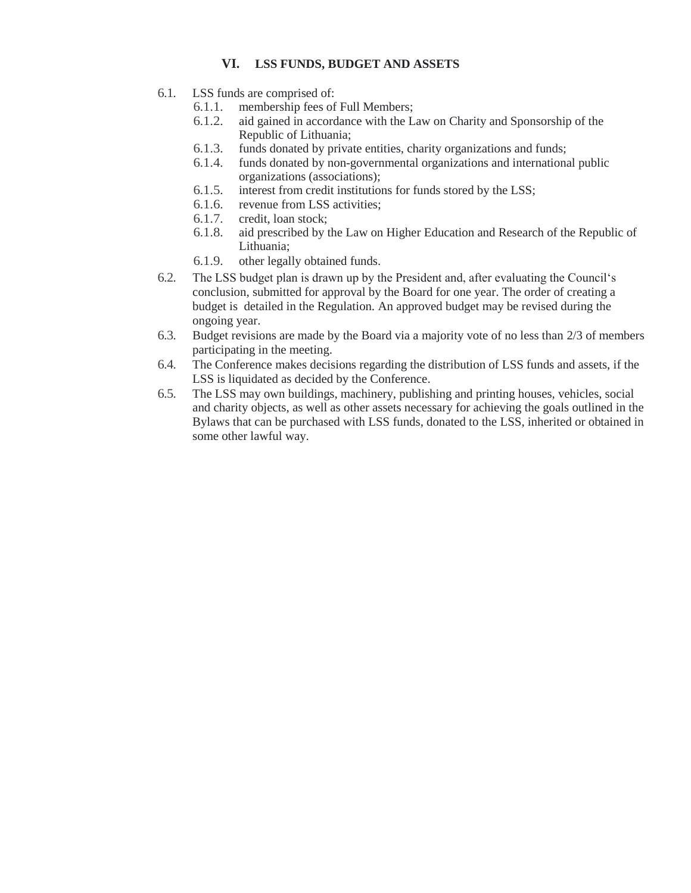## **VI. LSS FUNDS, BUDGET AND ASSETS**

- 6.1. LSS funds are comprised of:
	- 6.1.1. membership fees of Full Members;
	- 6.1.2. aid gained in accordance with the Law on Charity and Sponsorship of the Republic of Lithuania;
	- 6.1.3. funds donated by private entities, charity organizations and funds;
	- 6.1.4. funds donated by non-governmental organizations and international public organizations (associations);
	- 6.1.5. interest from credit institutions for funds stored by the LSS;
	- 6.1.6. revenue from LSS activities;
	- 6.1.7. credit, loan stock;
	- 6.1.8. aid prescribed by the Law on Higher Education and Research of the Republic of Lithuania;
	- 6.1.9. other legally obtained funds.
- 6.2. The LSS budget plan is drawn up by the President and, after evaluating the Council's conclusion, submitted for approval by the Board for one year. The order of creating a budget is detailed in the Regulation. An approved budget may be revised during the ongoing year.
- 6.3. Budget revisions are made by the Board via a majority vote of no less than 2/3 of members participating in the meeting.
- 6.4. The Conference makes decisions regarding the distribution of LSS funds and assets, if the LSS is liquidated as decided by the Conference.
- 6.5. The LSS may own buildings, machinery, publishing and printing houses, vehicles, social and charity objects, as well as other assets necessary for achieving the goals outlined in the Bylaws that can be purchased with LSS funds, donated to the LSS, inherited or obtained in some other lawful way.